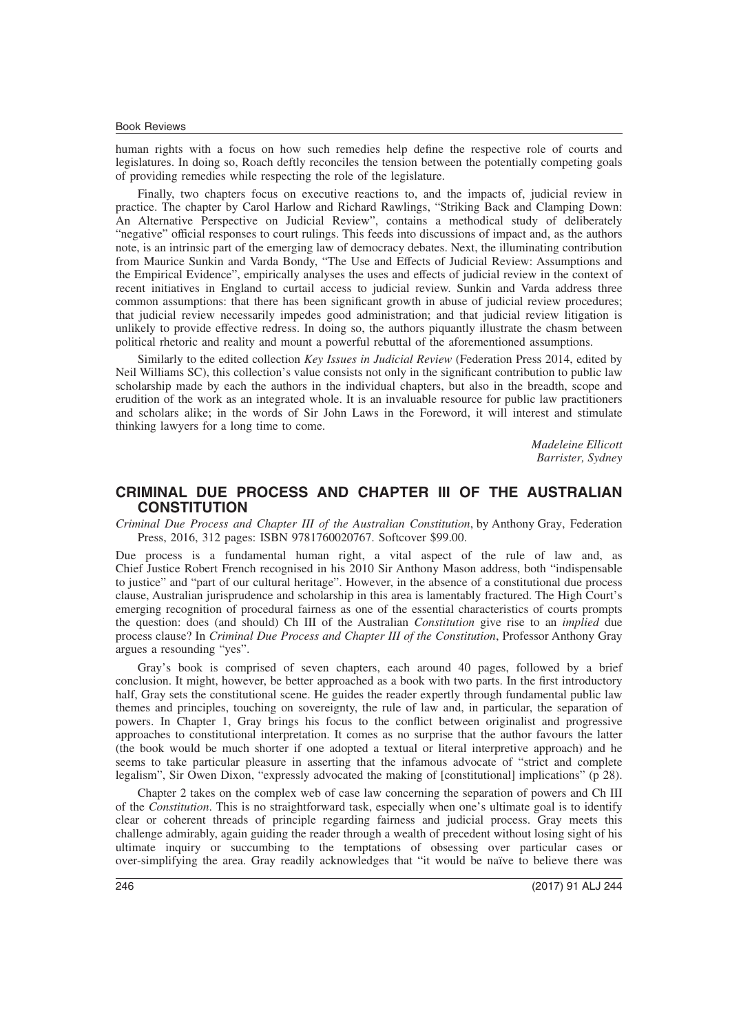## Book Reviews

human rights with a focus on how such remedies help define the respective role of courts and legislatures. In doing so, Roach deftly reconciles the tension between the potentially competing goals of providing remedies while respecting the role of the legislature.

Finally, two chapters focus on executive reactions to, and the impacts of, judicial review in practice. The chapter by Carol Harlow and Richard Rawlings, "Striking Back and Clamping Down: An Alternative Perspective on Judicial Review", contains a methodical study of deliberately "negative" official responses to court rulings. This feeds into discussions of impact and, as the authors note, is an intrinsic part of the emerging law of democracy debates. Next, the illuminating contribution from Maurice Sunkin and Varda Bondy, "The Use and Effects of Judicial Review: Assumptions and the Empirical Evidence", empirically analyses the uses and effects of judicial review in the context of recent initiatives in England to curtail access to judicial review. Sunkin and Varda address three common assumptions: that there has been significant growth in abuse of judicial review procedures; that judicial review necessarily impedes good administration; and that judicial review litigation is unlikely to provide effective redress. In doing so, the authors piquantly illustrate the chasm between political rhetoric and reality and mount a powerful rebuttal of the aforementioned assumptions.

Similarly to the edited collection *Key Issues in Judicial Review* (Federation Press 2014, edited by Neil Williams SC), this collection's value consists not only in the significant contribution to public law scholarship made by each the authors in the individual chapters, but also in the breadth, scope and erudition of the work as an integrated whole. It is an invaluable resource for public law practitioners and scholars alike; in the words of Sir John Laws in the Foreword, it will interest and stimulate thinking lawyers for a long time to come.

> *Madeleine Ellicott Barrister, Sydney*

## **CRIMINAL DUE PROCESS AND CHAPTER III OF THE AUSTRALIAN CONSTITUTION**

*Criminal Due Process and Chapter III of the Australian Constitution*, by Anthony Gray, Federation Press, 2016, 312 pages: ISBN 9781760020767. Softcover \$99.00.

Due process is a fundamental human right, a vital aspect of the rule of law and, as Chief Justice Robert French recognised in his 2010 Sir Anthony Mason address, both "indispensable to justice" and "part of our cultural heritage". However, in the absence of a constitutional due process clause, Australian jurisprudence and scholarship in this area is lamentably fractured. The High Court's emerging recognition of procedural fairness as one of the essential characteristics of courts prompts the question: does (and should) Ch III of the Australian *Constitution* give rise to an *implied* due process clause? In *Criminal Due Process and Chapter III of the Constitution*, Professor Anthony Gray argues a resounding "yes".

Gray's book is comprised of seven chapters, each around 40 pages, followed by a brief conclusion. It might, however, be better approached as a book with two parts. In the first introductory half, Gray sets the constitutional scene. He guides the reader expertly through fundamental public law themes and principles, touching on sovereignty, the rule of law and, in particular, the separation of powers. In Chapter 1, Gray brings his focus to the conflict between originalist and progressive approaches to constitutional interpretation. It comes as no surprise that the author favours the latter (the book would be much shorter if one adopted a textual or literal interpretive approach) and he seems to take particular pleasure in asserting that the infamous advocate of "strict and complete legalism", Sir Owen Dixon, "expressly advocated the making of [constitutional] implications" (p 28).

Chapter 2 takes on the complex web of case law concerning the separation of powers and Ch III of the *Constitution*. This is no straightforward task, especially when one's ultimate goal is to identify clear or coherent threads of principle regarding fairness and judicial process. Gray meets this challenge admirably, again guiding the reader through a wealth of precedent without losing sight of his ultimate inquiry or succumbing to the temptations of obsessing over particular cases or over-simplifying the area. Gray readily acknowledges that "it would be naïve to believe there was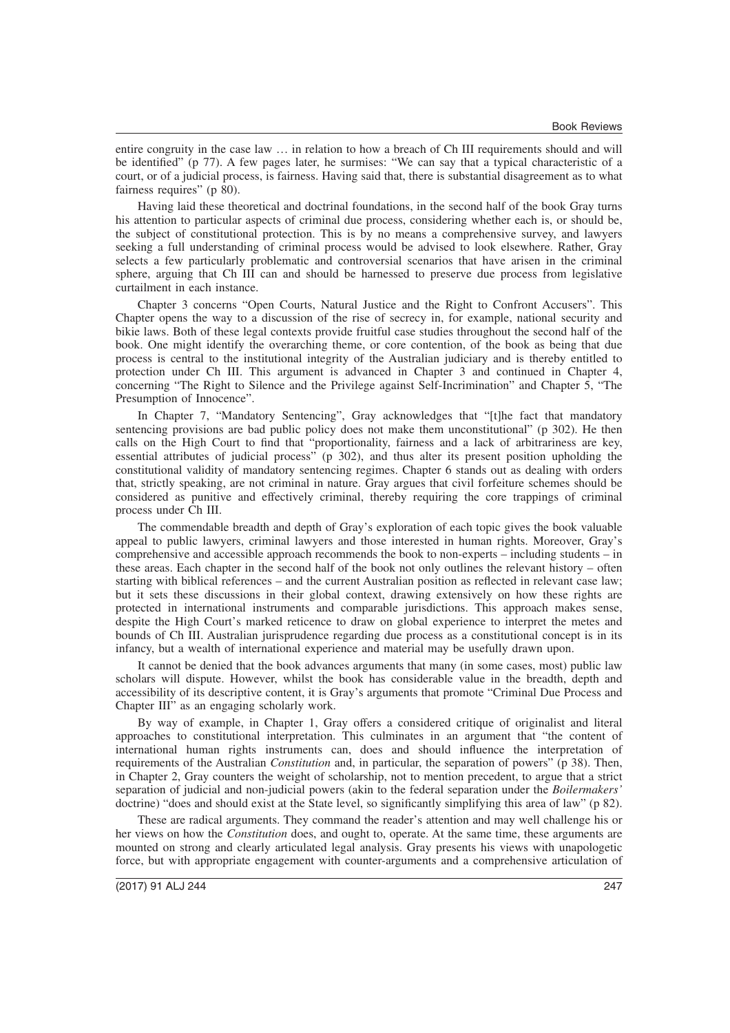entire congruity in the case law … in relation to how a breach of Ch III requirements should and will be identified" (p 77). A few pages later, he surmises: "We can say that a typical characteristic of a court, or of a judicial process, is fairness. Having said that, there is substantial disagreement as to what fairness requires" (p 80).

Having laid these theoretical and doctrinal foundations, in the second half of the book Gray turns his attention to particular aspects of criminal due process, considering whether each is, or should be, the subject of constitutional protection. This is by no means a comprehensive survey, and lawyers seeking a full understanding of criminal process would be advised to look elsewhere. Rather, Gray selects a few particularly problematic and controversial scenarios that have arisen in the criminal sphere, arguing that Ch III can and should be harnessed to preserve due process from legislative curtailment in each instance.

Chapter 3 concerns "Open Courts, Natural Justice and the Right to Confront Accusers". This Chapter opens the way to a discussion of the rise of secrecy in, for example, national security and bikie laws. Both of these legal contexts provide fruitful case studies throughout the second half of the book. One might identify the overarching theme, or core contention, of the book as being that due process is central to the institutional integrity of the Australian judiciary and is thereby entitled to protection under Ch III. This argument is advanced in Chapter 3 and continued in Chapter 4, concerning "The Right to Silence and the Privilege against Self-Incrimination" and Chapter 5, "The Presumption of Innocence".

In Chapter 7, "Mandatory Sentencing", Gray acknowledges that "[t]he fact that mandatory sentencing provisions are bad public policy does not make them unconstitutional" (p 302). He then calls on the High Court to find that "proportionality, fairness and a lack of arbitrariness are key, essential attributes of judicial process" (p 302), and thus alter its present position upholding the constitutional validity of mandatory sentencing regimes. Chapter 6 stands out as dealing with orders that, strictly speaking, are not criminal in nature. Gray argues that civil forfeiture schemes should be considered as punitive and effectively criminal, thereby requiring the core trappings of criminal process under Ch III.

The commendable breadth and depth of Gray's exploration of each topic gives the book valuable appeal to public lawyers, criminal lawyers and those interested in human rights. Moreover, Gray's comprehensive and accessible approach recommends the book to non-experts – including students – in these areas. Each chapter in the second half of the book not only outlines the relevant history – often starting with biblical references – and the current Australian position as reflected in relevant case law; but it sets these discussions in their global context, drawing extensively on how these rights are protected in international instruments and comparable jurisdictions. This approach makes sense, despite the High Court's marked reticence to draw on global experience to interpret the metes and bounds of Ch III. Australian jurisprudence regarding due process as a constitutional concept is in its infancy, but a wealth of international experience and material may be usefully drawn upon.

It cannot be denied that the book advances arguments that many (in some cases, most) public law scholars will dispute. However, whilst the book has considerable value in the breadth, depth and accessibility of its descriptive content, it is Gray's arguments that promote "Criminal Due Process and Chapter III" as an engaging scholarly work.

By way of example, in Chapter 1, Gray offers a considered critique of originalist and literal approaches to constitutional interpretation. This culminates in an argument that "the content of international human rights instruments can, does and should influence the interpretation of requirements of the Australian *Constitution* and, in particular, the separation of powers" (p 38). Then, in Chapter 2, Gray counters the weight of scholarship, not to mention precedent, to argue that a strict separation of judicial and non-judicial powers (akin to the federal separation under the *Boilermakers'* doctrine) "does and should exist at the State level, so significantly simplifying this area of law" (p 82).

These are radical arguments. They command the reader's attention and may well challenge his or her views on how the *Constitution* does, and ought to, operate. At the same time, these arguments are mounted on strong and clearly articulated legal analysis. Gray presents his views with unapologetic force, but with appropriate engagement with counter-arguments and a comprehensive articulation of